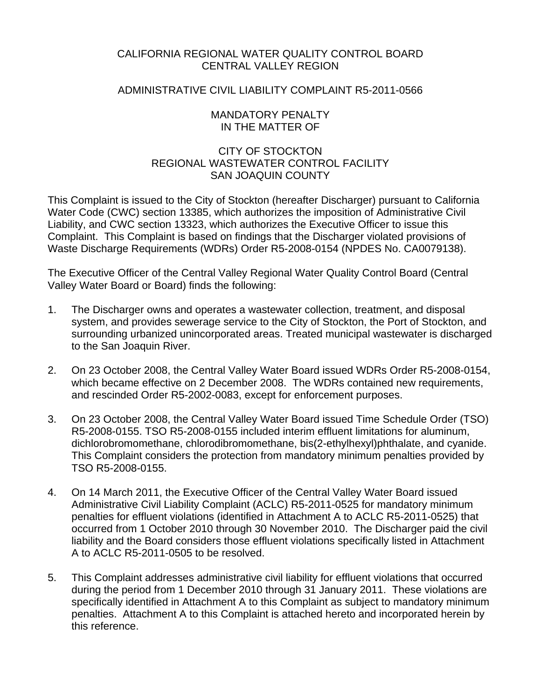# CALIFORNIA REGIONAL WATER QUALITY CONTROL BOARD CENTRAL VALLEY REGION

## ADMINISTRATIVE CIVIL LIABILITY COMPLAINT R5-2011-0566

## MANDATORY PENALTY IN THE MATTER OF

# CITY OF STOCKTON REGIONAL WASTEWATER CONTROL FACILITY SAN JOAQUIN COUNTY

This Complaint is issued to the City of Stockton (hereafter Discharger) pursuant to California Water Code (CWC) section 13385, which authorizes the imposition of Administrative Civil Liability, and CWC section 13323, which authorizes the Executive Officer to issue this Complaint. This Complaint is based on findings that the Discharger violated provisions of Waste Discharge Requirements (WDRs) Order R5-2008-0154 (NPDES No. CA0079138).

The Executive Officer of the Central Valley Regional Water Quality Control Board (Central Valley Water Board or Board) finds the following:

- 1. The Discharger owns and operates a wastewater collection, treatment, and disposal system, and provides sewerage service to the City of Stockton, the Port of Stockton, and surrounding urbanized unincorporated areas. Treated municipal wastewater is discharged to the San Joaquin River.
- 2. On 23 October 2008, the Central Valley Water Board issued WDRs Order R5-2008-0154, which became effective on 2 December 2008. The WDRs contained new requirements, and rescinded Order R5-2002-0083, except for enforcement purposes.
- 3. On 23 October 2008, the Central Valley Water Board issued Time Schedule Order (TSO) R5-2008-0155. TSO R5-2008-0155 included interim effluent limitations for aluminum, dichlorobromomethane, chlorodibromomethane, bis(2-ethylhexyl)phthalate, and cyanide. This Complaint considers the protection from mandatory minimum penalties provided by TSO R5-2008-0155.
- 4. On 14 March 2011, the Executive Officer of the Central Valley Water Board issued Administrative Civil Liability Complaint (ACLC) R5-2011-0525 for mandatory minimum penalties for effluent violations (identified in Attachment A to ACLC R5-2011-0525) that occurred from 1 October 2010 through 30 November 2010. The Discharger paid the civil liability and the Board considers those effluent violations specifically listed in Attachment A to ACLC R5-2011-0505 to be resolved.
- 5. This Complaint addresses administrative civil liability for effluent violations that occurred during the period from 1 December 2010 through 31 January 2011. These violations are specifically identified in Attachment A to this Complaint as subject to mandatory minimum penalties. Attachment A to this Complaint is attached hereto and incorporated herein by this reference.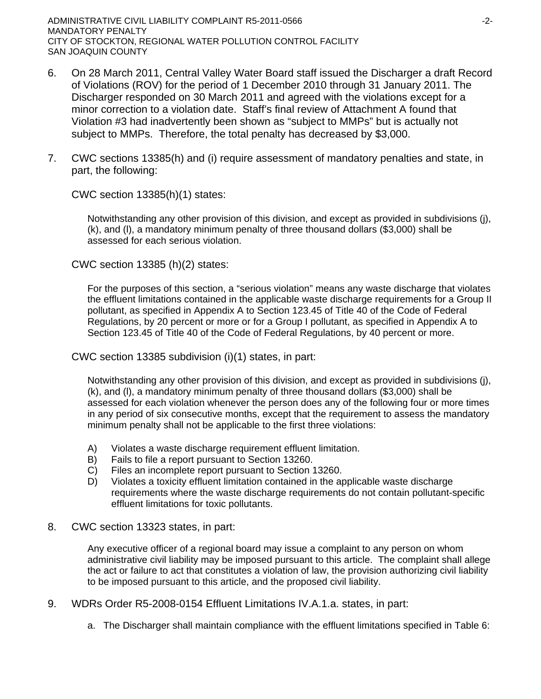ADMINISTRATIVE CIVIL LIABILITY COMPLAINT R5-2011-0566  $-2$ -MANDATORY PENALTY CITY OF STOCKTON, REGIONAL WATER POLLUTION CONTROL FACILITY SAN JOAQUIN COUNTY

- 6. On 28 March 2011, Central Valley Water Board staff issued the Discharger a draft Record of Violations (ROV) for the period of 1 December 2010 through 31 January 2011. The Discharger responded on 30 March 2011 and agreed with the violations except for a minor correction to a violation date. Staff's final review of Attachment A found that Violation #3 had inadvertently been shown as "subject to MMPs" but is actually not subject to MMPs. Therefore, the total penalty has decreased by \$3,000.
- 7. CWC sections 13385(h) and (i) require assessment of mandatory penalties and state, in part, the following:

CWC section 13385(h)(1) states:

Notwithstanding any other provision of this division, and except as provided in subdivisions (j), (k), and (l), a mandatory minimum penalty of three thousand dollars (\$3,000) shall be assessed for each serious violation.

CWC section 13385 (h)(2) states:

For the purposes of this section, a "serious violation" means any waste discharge that violates the effluent limitations contained in the applicable waste discharge requirements for a Group II pollutant, as specified in Appendix A to Section 123.45 of Title 40 of the Code of Federal Regulations, by 20 percent or more or for a Group I pollutant, as specified in Appendix A to Section 123.45 of Title 40 of the Code of Federal Regulations, by 40 percent or more.

CWC section 13385 subdivision (i)(1) states, in part:

Notwithstanding any other provision of this division, and except as provided in subdivisions (j), (k), and (l), a mandatory minimum penalty of three thousand dollars (\$3,000) shall be assessed for each violation whenever the person does any of the following four or more times in any period of six consecutive months, except that the requirement to assess the mandatory minimum penalty shall not be applicable to the first three violations:

- A) Violates a waste discharge requirement effluent limitation.
- B) Fails to file a report pursuant to Section 13260.
- C) Files an incomplete report pursuant to Section 13260.
- D) Violates a toxicity effluent limitation contained in the applicable waste discharge requirements where the waste discharge requirements do not contain pollutant-specific effluent limitations for toxic pollutants.
- 8. CWC section 13323 states, in part:

Any executive officer of a regional board may issue a complaint to any person on whom administrative civil liability may be imposed pursuant to this article. The complaint shall allege the act or failure to act that constitutes a violation of law, the provision authorizing civil liability to be imposed pursuant to this article, and the proposed civil liability.

- 9. WDRs Order R5-2008-0154 Effluent Limitations IV.A.1.a. states, in part:
	- a. The Discharger shall maintain compliance with the effluent limitations specified in Table 6: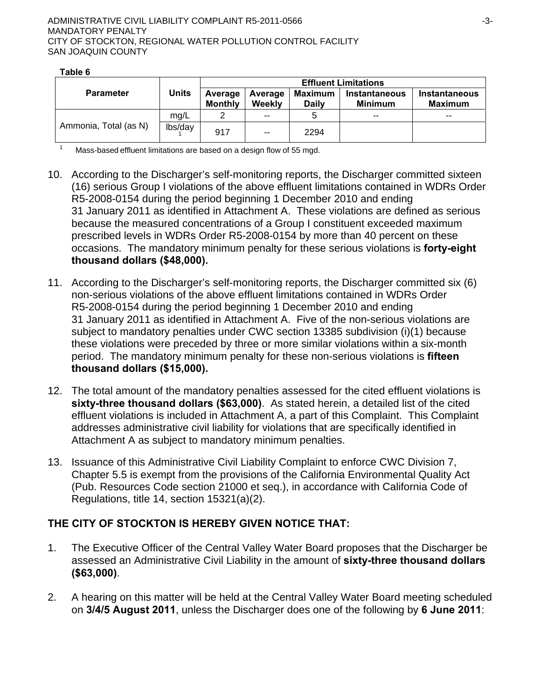|                       | <b>Units</b> | <b>Effluent Limitations</b> |                          |                                |                                        |                          |
|-----------------------|--------------|-----------------------------|--------------------------|--------------------------------|----------------------------------------|--------------------------|
| <b>Parameter</b>      |              | Average<br><b>Monthly</b>   | Average<br><b>Weekly</b> | <b>Maximum</b><br><b>Daily</b> | <b>Instantaneous</b><br><b>Minimum</b> | Instantaneous<br>Maximum |
|                       | mg/L         |                             | $- -$                    |                                | $- -$                                  | $- -$                    |
| Ammonia, Total (as N) | lbs/day      | 917                         | $\sim$ $\sim$            | 2294                           |                                        |                          |

**Table 6** 

 $1 -$  Mass-based effluent limitations are based on a design flow of 55 mgd.

- 10. According to the Discharger's self-monitoring reports, the Discharger committed sixteen (16) serious Group I violations of the above effluent limitations contained in WDRs Order R5-2008-0154 during the period beginning 1 December 2010 and ending 31 January 2011 as identified in Attachment A. These violations are defined as serious because the measured concentrations of a Group I constituent exceeded maximum prescribed levels in WDRs Order R5-2008-0154 by more than 40 percent on these occasions. The mandatory minimum penalty for these serious violations is **forty-eight thousand dollars (\$48,000).**
- 11. According to the Discharger's self-monitoring reports, the Discharger committed six (6) non-serious violations of the above effluent limitations contained in WDRs Order R5-2008-0154 during the period beginning 1 December 2010 and ending 31 January 2011 as identified in Attachment A. Five of the non-serious violations are subject to mandatory penalties under CWC section 13385 subdivision (i)(1) because these violations were preceded by three or more similar violations within a six-month period. The mandatory minimum penalty for these non-serious violations is **fifteen thousand dollars (\$15,000).**
- 12. The total amount of the mandatory penalties assessed for the cited effluent violations is **sixty-three thousand dollars (\$63,000)**. As stated herein, a detailed list of the cited effluent violations is included in Attachment A, a part of this Complaint. This Complaint addresses administrative civil liability for violations that are specifically identified in Attachment A as subject to mandatory minimum penalties.
- 13. Issuance of this Administrative Civil Liability Complaint to enforce CWC Division 7, Chapter 5.5 is exempt from the provisions of the California Environmental Quality Act (Pub. Resources Code section 21000 et seq.), in accordance with California Code of Regulations, title 14, section 15321(a)(2).

# **THE CITY OF STOCKTON IS HEREBY GIVEN NOTICE THAT:**

- 1. The Executive Officer of the Central Valley Water Board proposes that the Discharger be assessed an Administrative Civil Liability in the amount of **sixty-three thousand dollars (\$63,000)**.
- 2. A hearing on this matter will be held at the Central Valley Water Board meeting scheduled on **3/4/5 August 2011**, unless the Discharger does one of the following by **6 June 2011**: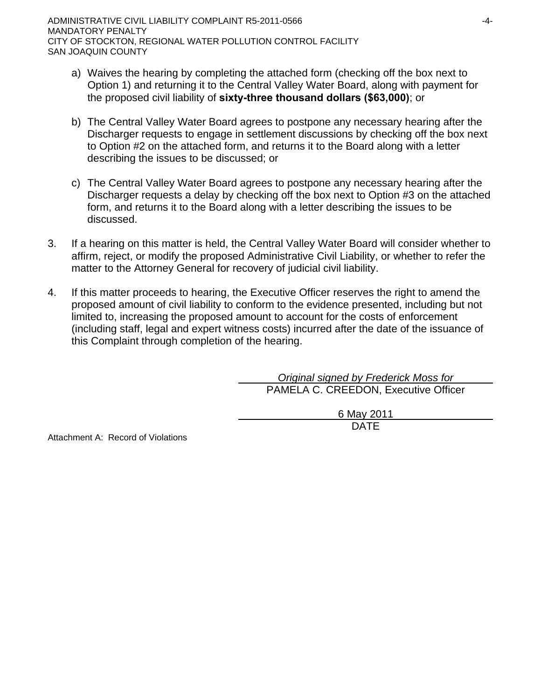- a) Waives the hearing by completing the attached form (checking off the box next to Option 1) and returning it to the Central Valley Water Board, along with payment for the proposed civil liability of **sixty-three thousand dollars (\$63,000)**; or
- b) The Central Valley Water Board agrees to postpone any necessary hearing after the Discharger requests to engage in settlement discussions by checking off the box next to Option #2 on the attached form, and returns it to the Board along with a letter describing the issues to be discussed; or
- c) The Central Valley Water Board agrees to postpone any necessary hearing after the Discharger requests a delay by checking off the box next to Option #3 on the attached form, and returns it to the Board along with a letter describing the issues to be discussed.
- 3. If a hearing on this matter is held, the Central Valley Water Board will consider whether to affirm, reject, or modify the proposed Administrative Civil Liability, or whether to refer the matter to the Attorney General for recovery of judicial civil liability.
- 4. If this matter proceeds to hearing, the Executive Officer reserves the right to amend the proposed amount of civil liability to conform to the evidence presented, including but not limited to, increasing the proposed amount to account for the costs of enforcement (including staff, legal and expert witness costs) incurred after the date of the issuance of this Complaint through completion of the hearing.

*Original signed by Frederick Moss for* PAMELA C. CREEDON, Executive Officer

> 6 May 2011 DATE

Attachment A: Record of Violations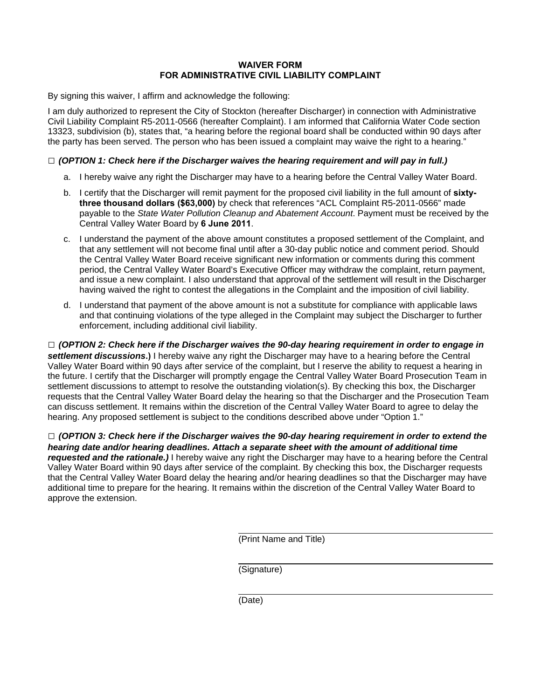## **WAIVER FORM FOR ADMINISTRATIVE CIVIL LIABILITY COMPLAINT**

By signing this waiver, I affirm and acknowledge the following:

I am duly authorized to represent the City of Stockton (hereafter Discharger) in connection with Administrative Civil Liability Complaint R5-2011-0566 (hereafter Complaint). I am informed that California Water Code section 13323, subdivision (b), states that, "a hearing before the regional board shall be conducted within 90 days after the party has been served. The person who has been issued a complaint may waive the right to a hearing."

## **□** *(OPTION 1: Check here if the Discharger waives the hearing requirement and will pay in full.)*

- a. I hereby waive any right the Discharger may have to a hearing before the Central Valley Water Board.
- b. I certify that the Discharger will remit payment for the proposed civil liability in the full amount of **sixtythree thousand dollars (\$63,000)** by check that references "ACL Complaint R5-2011-0566" made payable to the *State Water Pollution Cleanup and Abatement Account*. Payment must be received by the Central Valley Water Board by **6 June 2011**.
- c. I understand the payment of the above amount constitutes a proposed settlement of the Complaint, and that any settlement will not become final until after a 30-day public notice and comment period. Should the Central Valley Water Board receive significant new information or comments during this comment period, the Central Valley Water Board's Executive Officer may withdraw the complaint, return payment, and issue a new complaint. I also understand that approval of the settlement will result in the Discharger having waived the right to contest the allegations in the Complaint and the imposition of civil liability.
- d. I understand that payment of the above amount is not a substitute for compliance with applicable laws and that continuing violations of the type alleged in the Complaint may subject the Discharger to further enforcement, including additional civil liability.

**□** *(OPTION 2: Check here if the Discharger waives the 90-day hearing requirement in order to engage in settlement discussions***.)** I hereby waive any right the Discharger may have to a hearing before the Central Valley Water Board within 90 days after service of the complaint, but I reserve the ability to request a hearing in the future. I certify that the Discharger will promptly engage the Central Valley Water Board Prosecution Team in settlement discussions to attempt to resolve the outstanding violation(s). By checking this box, the Discharger requests that the Central Valley Water Board delay the hearing so that the Discharger and the Prosecution Team can discuss settlement. It remains within the discretion of the Central Valley Water Board to agree to delay the hearing. Any proposed settlement is subject to the conditions described above under "Option 1."

**□** *(OPTION 3: Check here if the Discharger waives the 90-day hearing requirement in order to extend the hearing date and/or hearing deadlines. Attach a separate sheet with the amount of additional time requested and the rationale.)* I hereby waive any right the Discharger may have to a hearing before the Central Valley Water Board within 90 days after service of the complaint. By checking this box, the Discharger requests that the Central Valley Water Board delay the hearing and/or hearing deadlines so that the Discharger may have additional time to prepare for the hearing. It remains within the discretion of the Central Valley Water Board to approve the extension.

(Print Name and Title)

(Signature)

(Date)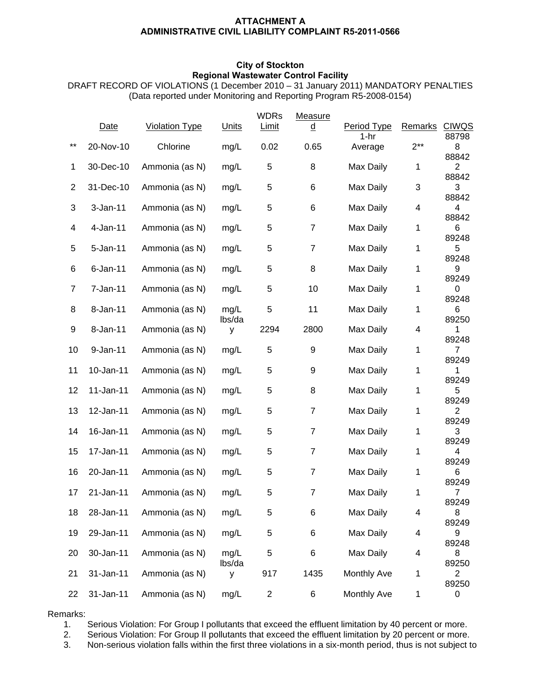### **ATTACHMENT A ADMINISTRATIVE CIVIL LIABILITY COMPLAINT R5-2011-0566**

### **City of Stockton Regional Wastewater Control Facility**

DRAFT RECORD OF VIOLATIONS (1 December 2010 – 31 January 2011) MANDATORY PENALTIES (Data reported under Monitoring and Reporting Program R5-2008-0154)

|                | Date         | <b>Violation Type</b> | <b>Units</b>   | <b>WDRs</b><br><b>Limit</b> | Measure<br>d   | Period Type       | <b>Remarks</b> | <b>CIWQS</b>            |
|----------------|--------------|-----------------------|----------------|-----------------------------|----------------|-------------------|----------------|-------------------------|
| $***$          | 20-Nov-10    | Chlorine              | mg/L           | 0.02                        | 0.65           | $1-hr$<br>Average | $2***$         | 88798<br>8              |
| 1              | 30-Dec-10    | Ammonia (as N)        | mg/L           | 5                           | 8              | Max Daily         | 1              | 88842<br>$\overline{2}$ |
| $\overline{2}$ | 31-Dec-10    | Ammonia (as N)        | mg/L           | 5                           | 6              | Max Daily         | 3              | 88842<br>3              |
| 3              | $3-Jan-11$   | Ammonia (as N)        | mg/L           | 5                           | 6              | Max Daily         | 4              | 88842<br>4<br>88842     |
| 4              | 4-Jan-11     | Ammonia (as N)        | mg/L           | 5                           | $\overline{7}$ | Max Daily         | 1              | 6<br>89248              |
| 5              | $5 - Jan-11$ | Ammonia (as N)        | mg/L           | 5                           | $\overline{7}$ | Max Daily         | 1              | 5<br>89248              |
| 6              | $6$ -Jan-11  | Ammonia (as N)        | mg/L           | 5                           | 8              | Max Daily         | 1              | 9<br>89249              |
| $\overline{7}$ | 7-Jan-11     | Ammonia (as N)        | mg/L           | 5                           | 10             | Max Daily         | 1              | 0<br>89248              |
| 8              | 8-Jan-11     | Ammonia (as N)        | mg/L<br>lbs/da | 5                           | 11             | Max Daily         | 1              | 6<br>89250              |
| 9              | 8-Jan-11     | Ammonia (as N)        | У              | 2294                        | 2800           | Max Daily         | 4              | 1<br>89248              |
| 10             | 9-Jan-11     | Ammonia (as N)        | mg/L           | 5                           | 9              | Max Daily         | 1              | 7<br>89249              |
| 11             | 10-Jan-11    | Ammonia (as N)        | mg/L           | 5                           | 9              | Max Daily         | 1              | 1<br>89249              |
| 12             | 11-Jan-11    | Ammonia (as N)        | mg/L           | 5                           | 8              | Max Daily         | 1              | 5<br>89249              |
| 13             | 12-Jan-11    | Ammonia (as N)        | mg/L           | 5                           | $\overline{7}$ | Max Daily         | 1              | 2<br>89249              |
| 14             | 16-Jan-11    | Ammonia (as N)        | mg/L           | 5                           | 7              | Max Daily         | 1              | 3<br>89249              |
| 15             | 17-Jan-11    | Ammonia (as N)        | mg/L           | 5                           | $\overline{7}$ | Max Daily         | 1              | 4<br>89249              |
| 16             | 20-Jan-11    | Ammonia (as N)        | mg/L           | 5                           | $\overline{7}$ | Max Daily         | 1              | 6<br>89249              |
| 17             | 21-Jan-11    | Ammonia (as N)        | mg/L           | 5                           | 7              | Max Daily         | 1              | $\overline{7}$<br>89249 |
| 18             | 28-Jan-11    | Ammonia (as N)        | mg/L           | 5                           | 6              | Max Daily         | 4              | 8<br>89249              |
| 19             | 29-Jan-11    | Ammonia (as N)        | mg/L           | 5                           | 6              | Max Daily         | 4              | 9<br>89248              |
| 20             | 30-Jan-11    | Ammonia (as N)        | mg/L<br>lbs/da | 5                           | 6              | Max Daily         | 4              | 8<br>89250              |
| 21             | 31-Jan-11    | Ammonia (as N)        | У              | 917                         | 1435           | Monthly Ave       | 1              | 2<br>89250              |
| 22             | 31-Jan-11    | Ammonia (as N)        | mg/L           | $\overline{\mathbf{c}}$     | 6              | Monthly Ave       | 1              | 0                       |

Remarks:

1. Serious Violation: For Group I pollutants that exceed the effluent limitation by 40 percent or more.

2. Serious Violation: For Group II pollutants that exceed the effluent limitation by 20 percent or more.

3. Non-serious violation falls within the first three violations in a six-month period, thus is not subject to